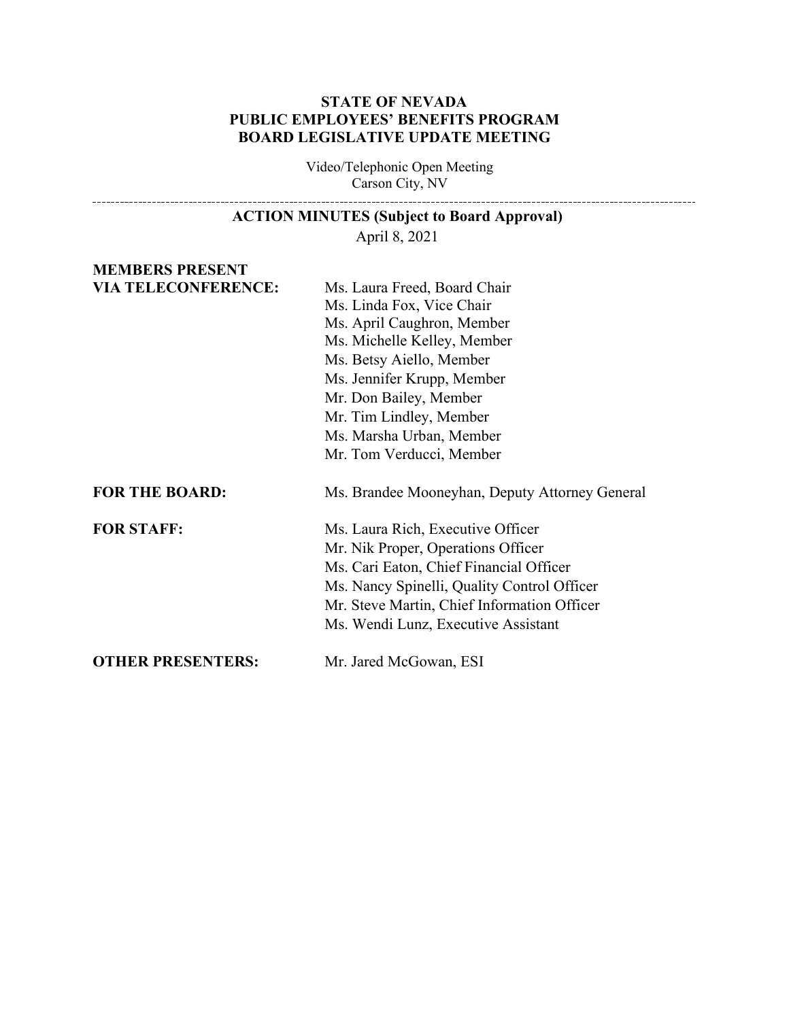#### **STATE OF NEVADA PUBLIC EMPLOYEES' BENEFITS PROGRAM BOARD LEGISLATIVE UPDATE MEETING**

Video/Telephonic Open Meeting Carson City, NV

# **ACTION MINUTES (Subject to Board Approval)**

April 8, 2021

#### **MEMBERS PRESENT VIA TELECONFERENCE:** Ms. Laura Freed, Board Chair

|                          | Ms. Linda Fox, Vice Chair                      |
|--------------------------|------------------------------------------------|
|                          | Ms. April Caughron, Member                     |
|                          | Ms. Michelle Kelley, Member                    |
|                          | Ms. Betsy Aiello, Member                       |
|                          | Ms. Jennifer Krupp, Member                     |
|                          | Mr. Don Bailey, Member                         |
|                          | Mr. Tim Lindley, Member                        |
|                          | Ms. Marsha Urban, Member                       |
|                          | Mr. Tom Verducci, Member                       |
| <b>FOR THE BOARD:</b>    | Ms. Brandee Mooneyhan, Deputy Attorney General |
| <b>FOR STAFF:</b>        | Ms. Laura Rich, Executive Officer              |
|                          | Mr. Nik Proper, Operations Officer             |
|                          | Ms. Cari Eaton, Chief Financial Officer        |
|                          | Ms. Nancy Spinelli, Quality Control Officer    |
|                          | Mr. Steve Martin, Chief Information Officer    |
|                          | Ms. Wendi Lunz, Executive Assistant            |
| <b>OTHER PRESENTERS:</b> | Mr. Jared McGowan, ESI                         |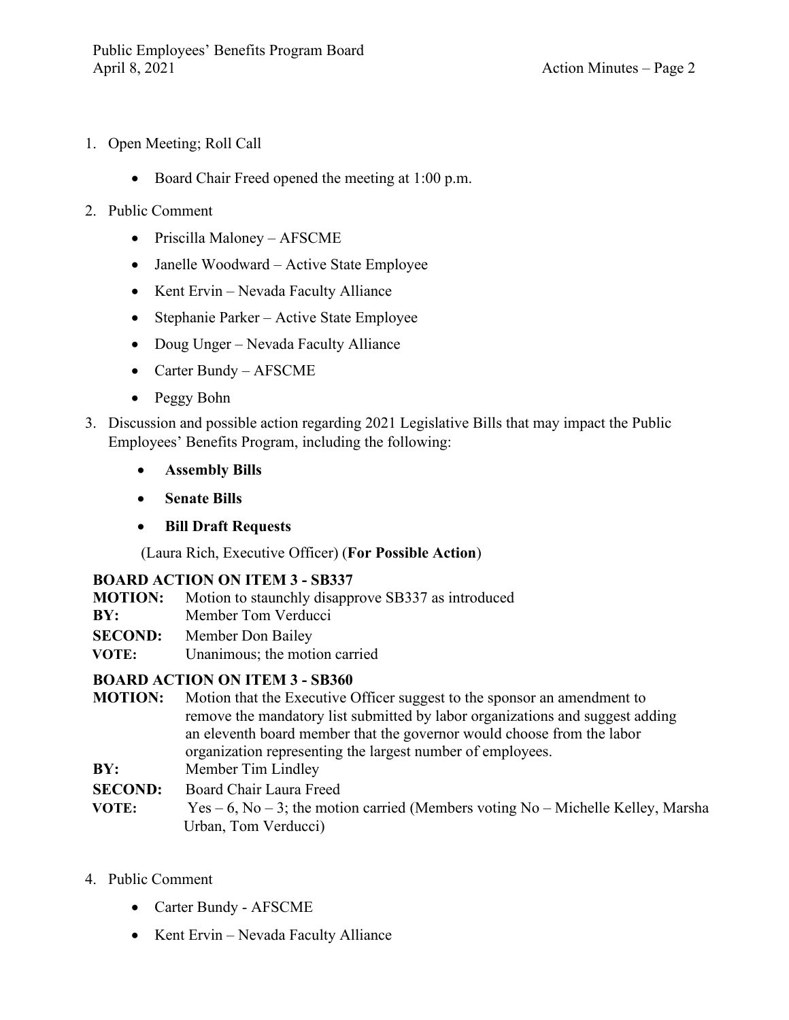- 1. Open Meeting; Roll Call
	- Board Chair Freed opened the meeting at 1:00 p.m.
- 2. Public Comment
	- Priscilla Maloney AFSCME
	- Janelle Woodward Active State Employee
	- Kent Ervin Nevada Faculty Alliance
	- Stephanie Parker Active State Employee
	- Doug Unger Nevada Faculty Alliance
	- Carter Bundy AFSCME
	- Peggy Bohn
- 3. Discussion and possible action regarding 2021 Legislative Bills that may impact the Public Employees' Benefits Program, including the following:
	- **Assembly Bills**
	- **Senate Bills**
	- **Bill Draft Requests**

(Laura Rich, Executive Officer) (**For Possible Action**)

## **BOARD ACTION ON ITEM 3 - SB337**

- **MOTION:** Motion to staunchly disapprove SB337 as introduced
- **BY:** Member Tom Verducci
- **SECOND:** Member Don Bailey
- **VOTE:** Unanimous; the motion carried

## **BOARD ACTION ON ITEM 3 - SB360**

- **MOTION:** Motion that the Executive Officer suggest to the sponsor an amendment to remove the mandatory list submitted by labor organizations and suggest adding an eleventh board member that the governor would choose from the labor organization representing the largest number of employees.
- **BY:** Member Tim Lindley
- **SECOND:** Board Chair Laura Freed
- **VOTE:** Yes 6, No 3; the motion carried (Members voting No Michelle Kelley, Marsha Urban, Tom Verducci)
- 4. Public Comment
	- Carter Bundy AFSCME
	- Kent Ervin Nevada Faculty Alliance